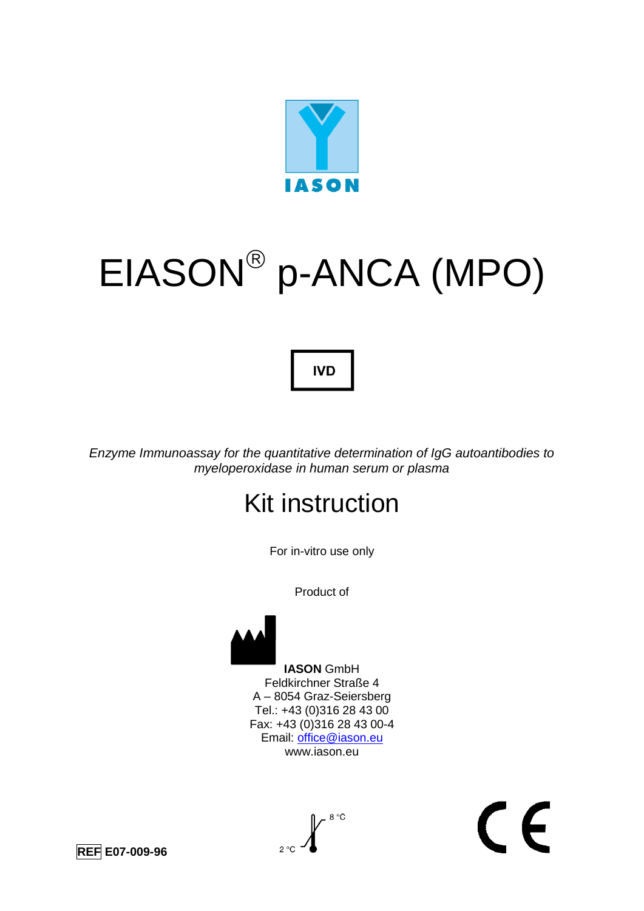

# EIASON p-ANCA (MPO)

## **IVD**

*Enzyme Immunoassay for the quantitative determination of IgG autoantibodies to myeloperoxidase in human serum or plasma*

## Kit instruction

For in-vitro use only

Product of



 **IASON** GmbH Feldkirchner Straße 4 A – 8054 Graz-Seiersberg Tel.: +43 (0)316 28 43 00 Fax: +43 (0)316 28 43 00-4 Email: [office@iason.eu](mailto:office@iason.eu) www.iason.eu

 $\epsilon$ 

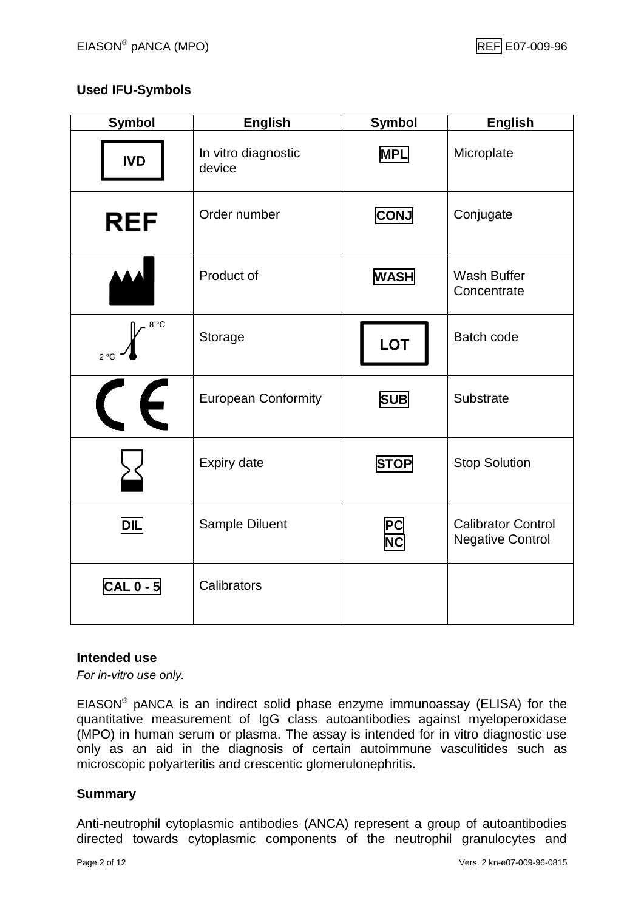#### **Used IFU-Symbols**

| <b>Symbol</b>                          | <b>English</b>                | <b>Symbol</b> | <b>English</b>                                       |
|----------------------------------------|-------------------------------|---------------|------------------------------------------------------|
| <b>IVD</b>                             | In vitro diagnostic<br>device | <b>MPL</b>    | Microplate                                           |
| <b>REF</b>                             | Order number                  | <b>CONJ</b>   | Conjugate                                            |
|                                        | Product of                    | <b>WASH</b>   | <b>Wash Buffer</b><br>Concentrate                    |
| 8 °C<br>$2^{\circ}C$                   | Storage                       | <b>LOT</b>    | <b>Batch code</b>                                    |
| $\epsilon$<br>$\overline{\mathcal{C}}$ | <b>European Conformity</b>    | <b>SUB</b>    | Substrate                                            |
|                                        | Expiry date                   | <b>STOP</b>   | <b>Stop Solution</b>                                 |
| <b>DIL</b>                             | Sample Diluent                | P(            | <b>Calibrator Control</b><br><b>Negative Control</b> |
| $CAL 0 - 5$                            | Calibrators                   |               |                                                      |

#### **Intended use**

*For in-vitro use only.*

EIASON pANCA is an indirect solid phase enzyme immunoassay (ELISA) for the quantitative measurement of IgG class autoantibodies against myeloperoxidase (MPO) in human serum or plasma. The assay is intended for in vitro diagnostic use only as an aid in the diagnosis of certain autoimmune vasculitides such as microscopic polyarteritis and crescentic glomerulonephritis.

#### **Summary**

Anti-neutrophil cytoplasmic antibodies (ANCA) represent a group of autoantibodies directed towards cytoplasmic components of the neutrophil granulocytes and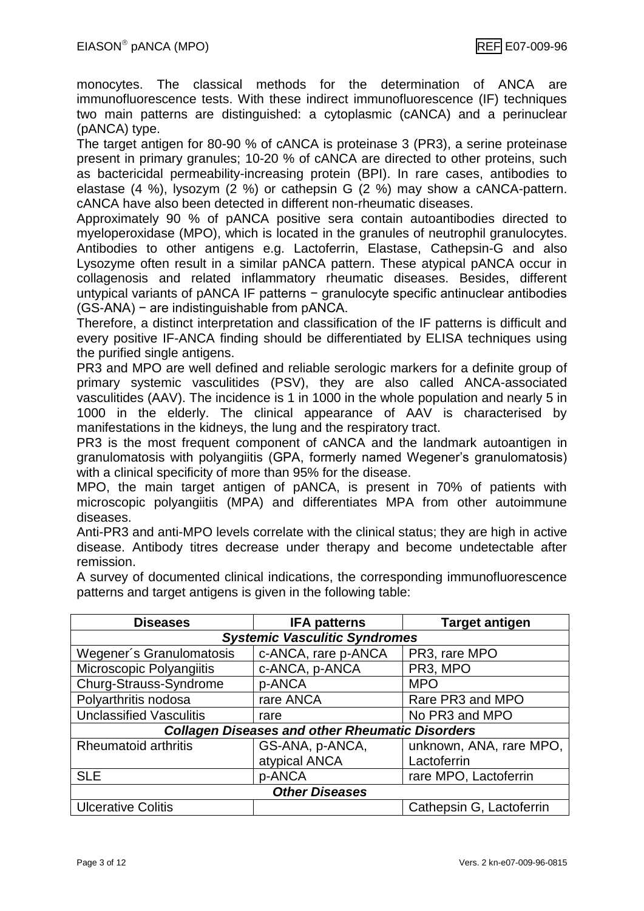monocytes. The classical methods for the determination of ANCA are immunofluorescence tests. With these indirect immunofluorescence (IF) techniques two main patterns are distinguished: a cytoplasmic (cANCA) and a perinuclear (pANCA) type.

The target antigen for 80-90 % of cANCA is proteinase 3 (PR3), a serine proteinase present in primary granules; 10-20 % of cANCA are directed to other proteins, such as bactericidal permeability-increasing protein (BPI). In rare cases, antibodies to elastase (4 %), lysozym (2 %) or cathepsin G (2 %) may show a cANCA-pattern. cANCA have also been detected in different non-rheumatic diseases.

Approximately 90 % of pANCA positive sera contain autoantibodies directed to myeloperoxidase (MPO), which is located in the granules of neutrophil granulocytes. Antibodies to other antigens e.g. Lactoferrin, Elastase, Cathepsin-G and also Lysozyme often result in a similar pANCA pattern. These atypical pANCA occur in collagenosis and related inflammatory rheumatic diseases. Besides, different untypical variants of pANCA IF patterns − granulocyte specific antinuclear antibodies (GS-ANA) − are indistinguishable from pANCA.

Therefore, a distinct interpretation and classification of the IF patterns is difficult and every positive IF-ANCA finding should be differentiated by ELISA techniques using the purified single antigens.

PR3 and MPO are well defined and reliable serologic markers for a definite group of primary systemic vasculitides (PSV), they are also called ANCA-associated vasculitides (AAV). The incidence is 1 in 1000 in the whole population and nearly 5 in 1000 in the elderly. The clinical appearance of AAV is characterised by manifestations in the kidneys, the lung and the respiratory tract.

PR3 is the most frequent component of cANCA and the landmark autoantigen in granulomatosis with polyangiitis (GPA, formerly named Wegener's granulomatosis) with a clinical specificity of more than 95% for the disease.

MPO, the main target antigen of pANCA, is present in 70% of patients with microscopic polyangiitis (MPA) and differentiates MPA from other autoimmune diseases.

Anti-PR3 and anti-MPO levels correlate with the clinical status; they are high in active disease. Antibody titres decrease under therapy and become undetectable after remission.

A survey of documented clinical indications, the corresponding immunofluorescence patterns and target antigens is given in the following table:

| <b>Diseases</b>                                        | <b>IFA patterns</b>                  | <b>Target antigen</b>    |  |  |  |  |
|--------------------------------------------------------|--------------------------------------|--------------------------|--|--|--|--|
|                                                        | <b>Systemic Vasculitic Syndromes</b> |                          |  |  |  |  |
| Wegener's Granulomatosis                               | c-ANCA, rare p-ANCA                  | PR3, rare MPO            |  |  |  |  |
| Microscopic Polyangiitis                               | c-ANCA, p-ANCA                       | PR3, MPO                 |  |  |  |  |
| Churg-Strauss-Syndrome                                 | p-ANCA                               | <b>MPO</b>               |  |  |  |  |
| Polyarthritis nodosa                                   | rare ANCA                            | Rare PR3 and MPO         |  |  |  |  |
| <b>Unclassified Vasculitis</b>                         | rare                                 | No PR3 and MPO           |  |  |  |  |
| <b>Collagen Diseases and other Rheumatic Disorders</b> |                                      |                          |  |  |  |  |
| <b>Rheumatoid arthritis</b>                            | GS-ANA, p-ANCA,                      | unknown, ANA, rare MPO,  |  |  |  |  |
|                                                        | atypical ANCA                        | Lactoferrin              |  |  |  |  |
| <b>SLE</b>                                             | p-ANCA                               | rare MPO, Lactoferrin    |  |  |  |  |
| <b>Other Diseases</b>                                  |                                      |                          |  |  |  |  |
| <b>Ulcerative Colitis</b>                              |                                      | Cathepsin G, Lactoferrin |  |  |  |  |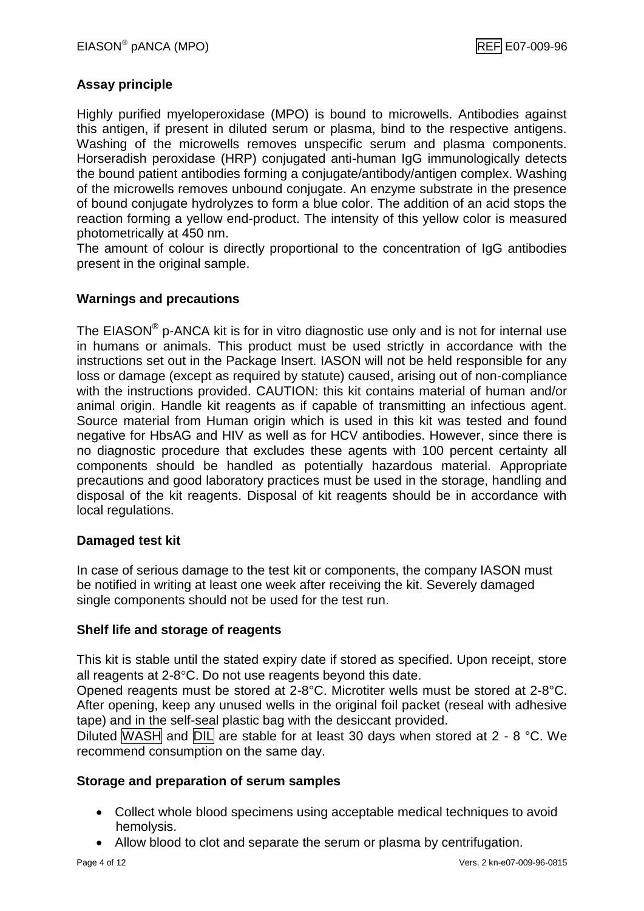#### **Assay principle**

Highly purified myeloperoxidase (MPO) is bound to microwells. Antibodies against this antigen, if present in diluted serum or plasma, bind to the respective antigens. Washing of the microwells removes unspecific serum and plasma components. Horseradish peroxidase (HRP) conjugated anti-human IgG immunologically detects the bound patient antibodies forming a conjugate/antibody/antigen complex. Washing of the microwells removes unbound conjugate. An enzyme substrate in the presence of bound conjugate hydrolyzes to form a blue color. The addition of an acid stops the reaction forming a yellow end-product. The intensity of this yellow color is measured photometrically at 450 nm.

The amount of colour is directly proportional to the concentration of IgG antibodies present in the original sample.

#### **Warnings and precautions**

The EIASON<sup>®</sup> p-ANCA kit is for in vitro diagnostic use only and is not for internal use in humans or animals. This product must be used strictly in accordance with the instructions set out in the Package Insert. IASON will not be held responsible for any loss or damage (except as required by statute) caused, arising out of non-compliance with the instructions provided. CAUTION: this kit contains material of human and/or animal origin. Handle kit reagents as if capable of transmitting an infectious agent. Source material from Human origin which is used in this kit was tested and found negative for HbsAG and HIV as well as for HCV antibodies. However, since there is no diagnostic procedure that excludes these agents with 100 percent certainty all components should be handled as potentially hazardous material. Appropriate precautions and good laboratory practices must be used in the storage, handling and disposal of the kit reagents. Disposal of kit reagents should be in accordance with local regulations.

#### **Damaged test kit**

In case of serious damage to the test kit or components, the company IASON must be notified in writing at least one week after receiving the kit. Severely damaged single components should not be used for the test run.

#### **Shelf life and storage of reagents**

This kit is stable until the stated expiry date if stored as specified. Upon receipt, store all reagents at  $2-8$ °C. Do not use reagents beyond this date.

Opened reagents must be stored at 2-8°C. Microtiter wells must be stored at 2-8°C. After opening, keep any unused wells in the original foil packet (reseal with adhesive tape) and in the self-seal plastic bag with the desiccant provided.

Diluted WASH and  $DIL$  are stable for at least 30 days when stored at 2 - 8 °C. We recommend consumption on the same day.

#### **Storage and preparation of serum samples**

- Collect whole blood specimens using acceptable medical techniques to avoid hemolysis.
- Allow blood to clot and separate the serum or plasma by centrifugation.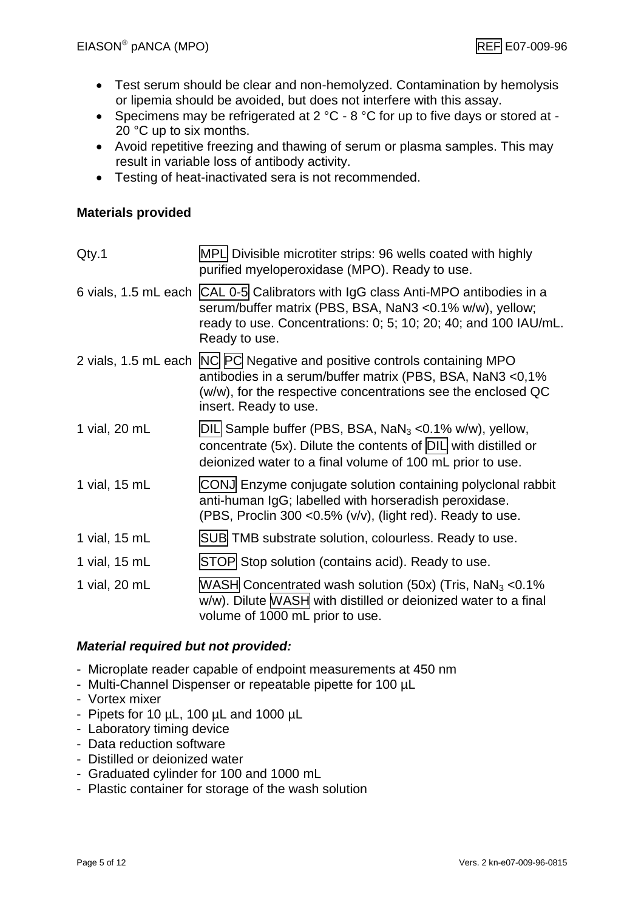- Test serum should be clear and non-hemolyzed. Contamination by hemolysis or lipemia should be avoided, but does not interfere with this assay.
- Specimens may be refrigerated at  $2^{\circ}C 8^{\circ}C$  for up to five days or stored at -20 °C up to six months.
- Avoid repetitive freezing and thawing of serum or plasma samples. This may result in variable loss of antibody activity.
- Testing of heat-inactivated sera is not recommended.

#### **Materials provided**

| Qty.1         | MPL Divisible microtiter strips: 96 wells coated with highly<br>purified myeloperoxidase (MPO). Ready to use.                                                                                                                    |
|---------------|----------------------------------------------------------------------------------------------------------------------------------------------------------------------------------------------------------------------------------|
|               | 6 vials, 1.5 mL each CAL 0-5 Calibrators with IgG class Anti-MPO antibodies in a<br>serum/buffer matrix (PBS, BSA, NaN3 < 0.1% w/w), yellow;<br>ready to use. Concentrations: 0; 5; 10; 20; 40; and 100 IAU/mL.<br>Ready to use. |
|               | 2 vials, 1.5 mL each NC PC Negative and positive controls containing MPO<br>antibodies in a serum/buffer matrix (PBS, BSA, NaN3 <0,1%<br>(w/w), for the respective concentrations see the enclosed QC<br>insert. Ready to use.   |
| 1 vial, 20 mL | DIL Sample buffer (PBS, BSA, $NaN3 < 0.1% w/w$ ), yellow,<br>concentrate (5x). Dilute the contents of $DIL$ with distilled or<br>deionized water to a final volume of 100 mL prior to use.                                       |
| 1 vial, 15 mL | CONJ Enzyme conjugate solution containing polyclonal rabbit<br>anti-human IgG; labelled with horseradish peroxidase.<br>(PBS, Proclin 300 <0.5% (v/v), (light red). Ready to use.                                                |
| 1 vial, 15 mL | SUB TMB substrate solution, colourless. Ready to use.                                                                                                                                                                            |
| 1 vial, 15 mL | STOP Stop solution (contains acid). Ready to use.                                                                                                                                                                                |
| 1 vial, 20 mL | WASH Concentrated wash solution (50x) (Tris, $NaN3 < 0.1%$<br>w/w). Dilute MASH with distilled or deionized water to a final<br>volume of 1000 mL prior to use.                                                                  |

#### *Material required but not provided:*

- Microplate reader capable of endpoint measurements at 450 nm
- Multi-Channel Dispenser or repeatable pipette for 100 µL
- Vortex mixer
- Pipets for 10 µL, 100 µL and 1000 µL
- Laboratory timing device
- Data reduction software
- Distilled or deionized water
- Graduated cylinder for 100 and 1000 mL
- Plastic container for storage of the wash solution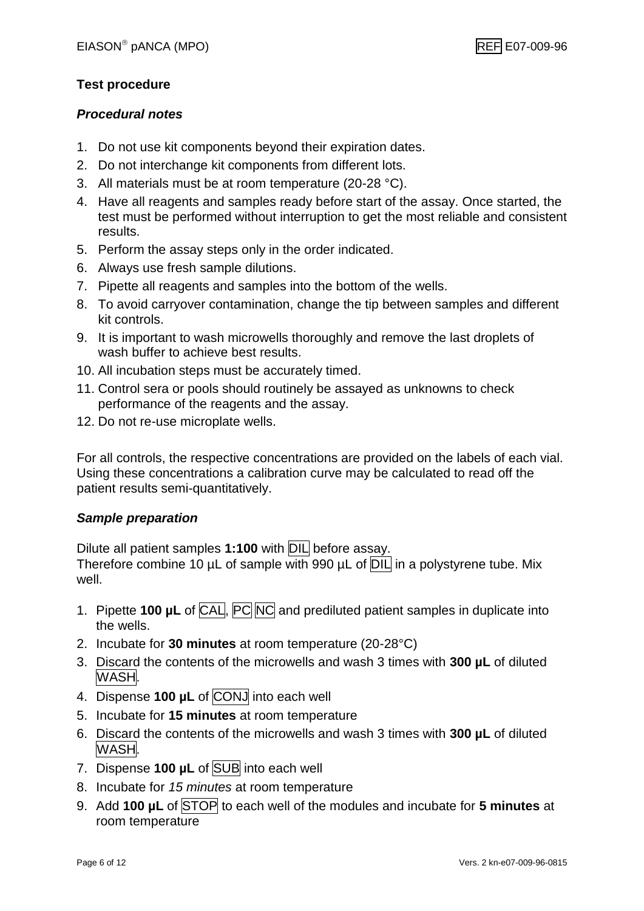#### **Test procedure**

#### *Procedural notes*

- 1. Do not use kit components beyond their expiration dates.
- 2. Do not interchange kit components from different lots.
- 3. All materials must be at room temperature (20-28 °C).
- 4. Have all reagents and samples ready before start of the assay. Once started, the test must be performed without interruption to get the most reliable and consistent results.
- 5. Perform the assay steps only in the order indicated.
- 6. Always use fresh sample dilutions.
- 7. Pipette all reagents and samples into the bottom of the wells.
- 8. To avoid carryover contamination, change the tip between samples and different kit controls.
- 9. It is important to wash microwells thoroughly and remove the last droplets of wash buffer to achieve best results.
- 10. All incubation steps must be accurately timed.
- 11. Control sera or pools should routinely be assayed as unknowns to check performance of the reagents and the assay.
- 12. Do not re-use microplate wells.

For all controls, the respective concentrations are provided on the labels of each vial. Using these concentrations a calibration curve may be calculated to read off the patient results semi-quantitatively.

#### *Sample preparation*

Dilute all patient samples **1:100** with DIL before assay.

Therefore combine 10 µL of sample with 990 µL of **DIL** in a polystyrene tube. Mix well.

- 1. Pipette **100 µL** of CAL, PC NC and prediluted patient samples in duplicate into the wells.
- 2. Incubate for **30 minutes** at room temperature (20-28°C)
- 3. Discard the contents of the microwells and wash 3 times with **300 µL** of diluted WASH.
- 4. Dispense **100 µL** of CONJ into each well
- 5. Incubate for **15 minutes** at room temperature
- 6. Discard the contents of the microwells and wash 3 times with **300 µL** of diluted WASH.
- 7. Dispense **100 µL** of SUB into each well
- 8. Incubate for *15 minutes* at room temperature
- 9. Add **100 µL** of STOP to each well of the modules and incubate for **5 minutes** at room temperature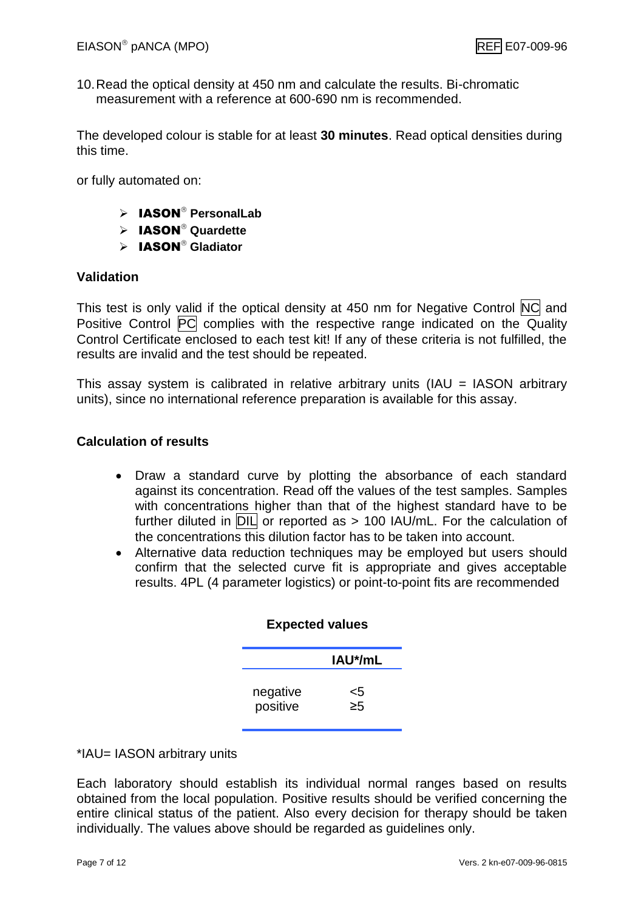10.Read the optical density at 450 nm and calculate the results. Bi-chromatic measurement with a reference at 600-690 nm is recommended.

The developed colour is stable for at least **30 minutes**. Read optical densities during this time.

or fully automated on:

- > **IASON<sup>®</sup> PersonalLab**
- $\triangleright$  **IASON**<sup>®</sup> Quardette
- > **IASON<sup>®</sup> Gladiator**

#### **Validation**

This test is only valid if the optical density at 450 nm for Negative Control NC and Positive Control PC complies with the respective range indicated on the Quality Control Certificate enclosed to each test kit! If any of these criteria is not fulfilled, the results are invalid and the test should be repeated.

This assay system is calibrated in relative arbitrary units (IAU = IASON arbitrary units), since no international reference preparation is available for this assay.

#### **Calculation of results**

- Draw a standard curve by plotting the absorbance of each standard against its concentration. Read off the values of the test samples. Samples with concentrations higher than that of the highest standard have to be further diluted in  $\overline{DIL}$  or reported as > 100 IAU/mL. For the calculation of the concentrations this dilution factor has to be taken into account.
- Alternative data reduction techniques may be employed but users should confirm that the selected curve fit is appropriate and gives acceptable results. 4PL (4 parameter logistics) or point-to-point fits are recommended

| IAU*/mL<br><5 | <b>Expected values</b> |                      |
|---------------|------------------------|----------------------|
|               |                        |                      |
|               | $\geq 5$               | negative<br>positive |

\*IAU= IASON arbitrary units

Each laboratory should establish its individual normal ranges based on results obtained from the local population. Positive results should be verified concerning the entire clinical status of the patient. Also every decision for therapy should be taken individually. The values above should be regarded as guidelines only.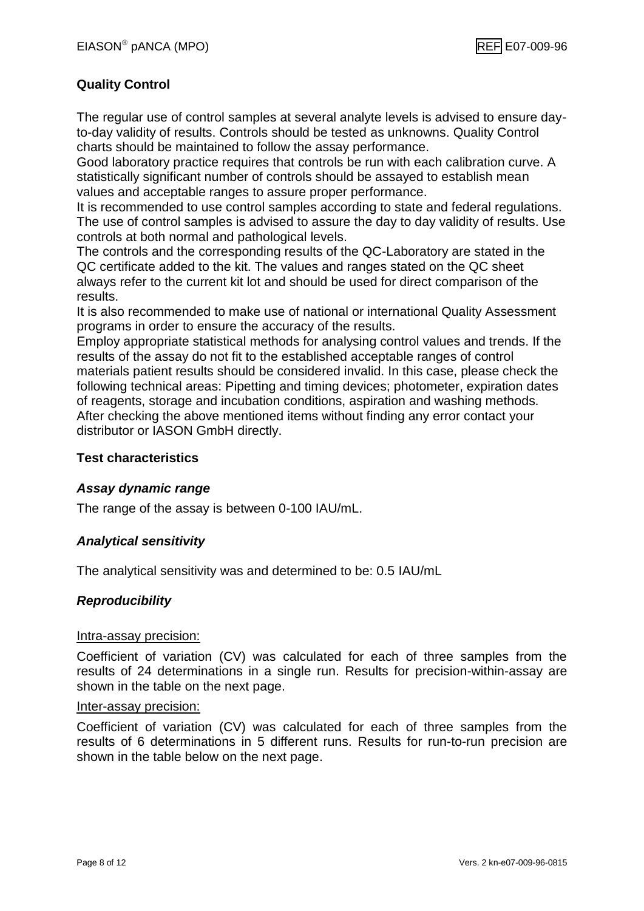#### **Quality Control**

The regular use of control samples at several analyte levels is advised to ensure dayto-day validity of results. Controls should be tested as unknowns. Quality Control charts should be maintained to follow the assay performance.

Good laboratory practice requires that controls be run with each calibration curve. A statistically significant number of controls should be assayed to establish mean values and acceptable ranges to assure proper performance.

It is recommended to use control samples according to state and federal regulations. The use of control samples is advised to assure the day to day validity of results. Use controls at both normal and pathological levels.

The controls and the corresponding results of the QC-Laboratory are stated in the QC certificate added to the kit. The values and ranges stated on the QC sheet always refer to the current kit lot and should be used for direct comparison of the results.

It is also recommended to make use of national or international Quality Assessment programs in order to ensure the accuracy of the results.

Employ appropriate statistical methods for analysing control values and trends. If the results of the assay do not fit to the established acceptable ranges of control materials patient results should be considered invalid. In this case, please check the following technical areas: Pipetting and timing devices; photometer, expiration dates of reagents, storage and incubation conditions, aspiration and washing methods. After checking the above mentioned items without finding any error contact your distributor or IASON GmbH directly.

#### **Test characteristics**

#### *Assay dynamic range*

The range of the assay is between 0-100 IAU/mL.

#### *Analytical sensitivity*

The analytical sensitivity was and determined to be: 0.5 IAU/mL

#### *Reproducibility*

#### Intra-assay precision:

Coefficient of variation (CV) was calculated for each of three samples from the results of 24 determinations in a single run. Results for precision-within-assay are shown in the table on the next page.

#### Inter-assay precision:

Coefficient of variation (CV) was calculated for each of three samples from the results of 6 determinations in 5 different runs. Results for run-to-run precision are shown in the table below on the next page.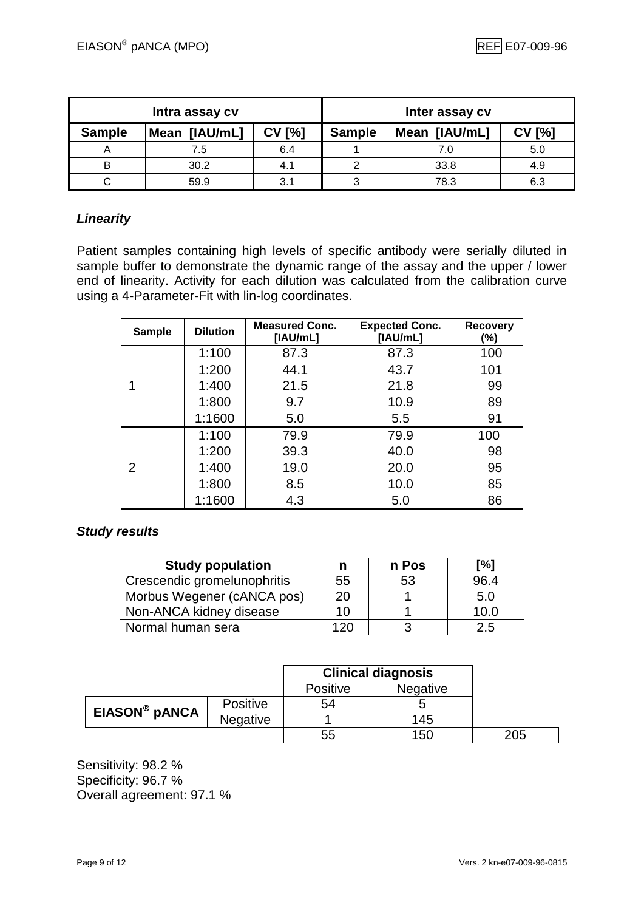| Intra assay cv |               |               |               | Inter assay cv |       |
|----------------|---------------|---------------|---------------|----------------|-------|
| <b>Sample</b>  | Mean [IAU/mL] | <b>CV [%]</b> | <b>Sample</b> | Mean [IAU/mL]  | ' [%] |
|                | 7.5           | 6.4           |               | 7.0            | 5.0   |
| в              | 30.2          | 4.1           |               | 33.8           | 4.9   |
|                | 59.9          | 3.1           |               | 78.3           | 6.3   |

#### *Linearity*

Patient samples containing high levels of specific antibody were serially diluted in sample buffer to demonstrate the dynamic range of the assay and the upper / lower end of linearity. Activity for each dilution was calculated from the calibration curve using a 4-Parameter-Fit with lin-log coordinates.

| <b>Sample</b> | <b>Dilution</b> | <b>Measured Conc.</b><br>[IAU/mL] | <b>Expected Conc.</b><br>[IAU/mL] | <b>Recovery</b><br>$(\%)$ |
|---------------|-----------------|-----------------------------------|-----------------------------------|---------------------------|
|               | 1:100           | 87.3                              | 87.3                              | 100                       |
|               | 1:200           | 44.1                              | 43.7                              | 101                       |
|               | 1:400           | 21.5                              | 21.8                              | 99                        |
|               | 1:800           | 9.7                               | 10.9                              | 89                        |
|               | 1:1600          | 5.0                               | 5.5                               | 91                        |
|               | 1:100           | 79.9                              | 79.9                              | 100                       |
|               | 1:200           | 39.3                              | 40.0                              | 98                        |
| 2             | 1:400           | 19.0                              | 20.0                              | 95                        |
|               | 1:800           | 8.5                               | 10.0                              | 85                        |
|               | 1:1600          | 4.3                               | 5.0                               | 86                        |

#### *Study results*

| <b>Study population</b>     | n   | n Pos | [%]  |
|-----------------------------|-----|-------|------|
| Crescendic gromelunophritis | 55  | 53    | 96.4 |
| Morbus Wegener (cANCA pos)  | 20  |       | 5.0  |
| Non-ANCA kidney disease     | 10  |       | 10.0 |
| Normal human sera           | 120 |       | 2.5  |

|                           |                 | <b>Clinical diagnosis</b> |                 |
|---------------------------|-----------------|---------------------------|-----------------|
|                           |                 | <b>Positive</b>           | <b>Negative</b> |
| EIASON <sup>®</sup> pANCA | <b>Positive</b> | 54                        |                 |
|                           | <b>Negative</b> |                           | 145             |
|                           |                 | 55                        | 150             |

Sensitivity: 98.2 % Specificity: 96.7 % Overall agreement: 97.1 %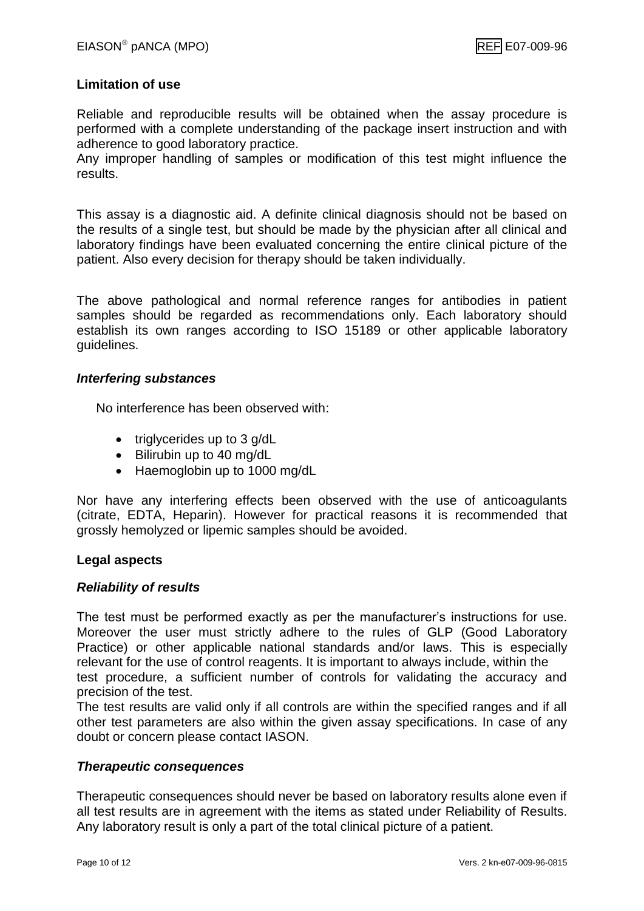#### **Limitation of use**

Reliable and reproducible results will be obtained when the assay procedure is performed with a complete understanding of the package insert instruction and with adherence to good laboratory practice.

Any improper handling of samples or modification of this test might influence the results.

This assay is a diagnostic aid. A definite clinical diagnosis should not be based on the results of a single test, but should be made by the physician after all clinical and laboratory findings have been evaluated concerning the entire clinical picture of the patient. Also every decision for therapy should be taken individually.

The above pathological and normal reference ranges for antibodies in patient samples should be regarded as recommendations only. Each laboratory should establish its own ranges according to ISO 15189 or other applicable laboratory guidelines.

#### *Interfering substances*

No interference has been observed with:

- triglycerides up to 3 g/dL
- Bilirubin up to 40 mg/dL
- Haemoglobin up to 1000 mg/dL

Nor have any interfering effects been observed with the use of anticoagulants (citrate, EDTA, Heparin). However for practical reasons it is recommended that grossly hemolyzed or lipemic samples should be avoided.

#### **Legal aspects**

#### *Reliability of results*

The test must be performed exactly as per the manufacturer's instructions for use. Moreover the user must strictly adhere to the rules of GLP (Good Laboratory Practice) or other applicable national standards and/or laws. This is especially relevant for the use of control reagents. It is important to always include, within the test procedure, a sufficient number of controls for validating the accuracy and precision of the test.

The test results are valid only if all controls are within the specified ranges and if all other test parameters are also within the given assay specifications. In case of any doubt or concern please contact IASON.

#### *Therapeutic consequences*

Therapeutic consequences should never be based on laboratory results alone even if all test results are in agreement with the items as stated under Reliability of Results. Any laboratory result is only a part of the total clinical picture of a patient.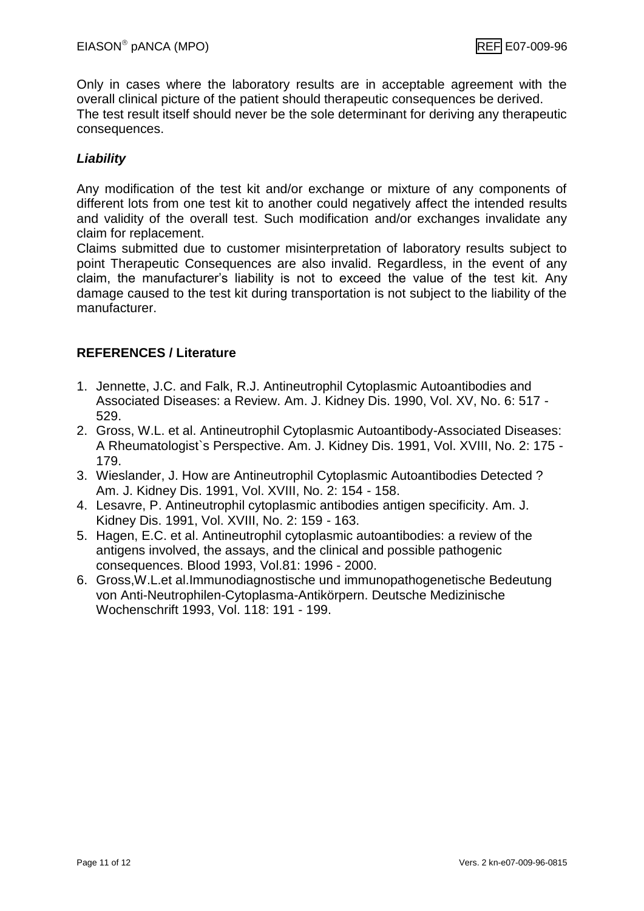Only in cases where the laboratory results are in acceptable agreement with the overall clinical picture of the patient should therapeutic consequences be derived. The test result itself should never be the sole determinant for deriving any therapeutic consequences.

#### *Liability*

Any modification of the test kit and/or exchange or mixture of any components of different lots from one test kit to another could negatively affect the intended results and validity of the overall test. Such modification and/or exchanges invalidate any claim for replacement.

Claims submitted due to customer misinterpretation of laboratory results subject to point Therapeutic Consequences are also invalid. Regardless, in the event of any claim, the manufacturer's liability is not to exceed the value of the test kit. Any damage caused to the test kit during transportation is not subject to the liability of the manufacturer.

#### **REFERENCES / Literature**

- 1. Jennette, J.C. and Falk, R.J. Antineutrophil Cytoplasmic Autoantibodies and Associated Diseases: a Review. Am. J. Kidney Dis. 1990, Vol. XV, No. 6: 517 - 529.
- 2. Gross, W.L. et al. Antineutrophil Cytoplasmic Autoantibody-Associated Diseases: A Rheumatologist`s Perspective. Am. J. Kidney Dis. 1991, Vol. XVIII, No. 2: 175 - 179.
- 3. Wieslander, J. How are Antineutrophil Cytoplasmic Autoantibodies Detected ? Am. J. Kidney Dis. 1991, Vol. XVIII, No. 2: 154 - 158.
- 4. Lesavre, P. Antineutrophil cytoplasmic antibodies antigen specificity. Am. J. Kidney Dis. 1991, Vol. XVIII, No. 2: 159 - 163.
- 5. Hagen, E.C. et al. Antineutrophil cytoplasmic autoantibodies: a review of the antigens involved, the assays, and the clinical and possible pathogenic consequences. Blood 1993, Vol.81: 1996 - 2000.
- 6. Gross,W.L.et al.Immunodiagnostische und immunopathogenetische Bedeutung von Anti-Neutrophilen-Cytoplasma-Antikörpern. Deutsche Medizinische Wochenschrift 1993, Vol. 118: 191 - 199.